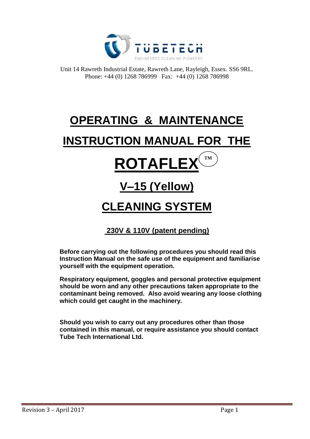

Unit 14 Rawreth Industrial Estate, Rawreth Lane, Rayleigh, Essex. SS6 9RL. Phone: +44 (0) 1268 786999 Fax: +44 (0) 1268 786998

# **OPERATING & MAINTENANCE**

## **INSTRUCTION MANUAL FOR THE**

## **ROTAFLEX TM**

## **V–15 (Yellow)**

## **CLEANING SYSTEM**

## **230V & 110V (patent pending)**

**Before carrying out the following procedures you should read this Instruction Manual on the safe use of the equipment and familiarise yourself with the equipment operation.**

**Respiratory equipment, goggles and personal protective equipment should be worn and any other precautions taken appropriate to the contaminant being removed. Also avoid wearing any loose clothing which could get caught in the machinery.**

**Should you wish to carry out any procedures other than those contained in this manual, or require assistance you should contact Tube Tech International Ltd.**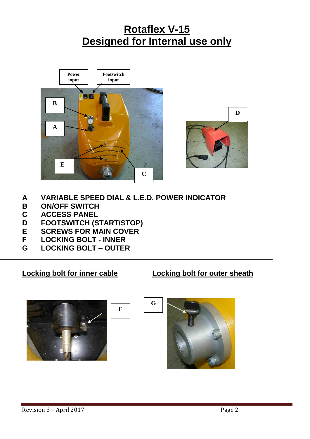## **Rotaflex V-15 Designed for Internal use only**





**A VARIABLE SPEED DIAL & L.E.D. POWER INDICATOR**

 **F**

- **B ON/OFF SWITCH**
- **C ACCESS PANEL**
- **D FOOTSWITCH (START/STOP)**
- **E SCREWS FOR MAIN COVER**
- **F LOCKING BOLT - INNER**
- **G LOCKING BOLT – OUTER**

**Locking bolt for inner cable Locking bolt for outer sheath**



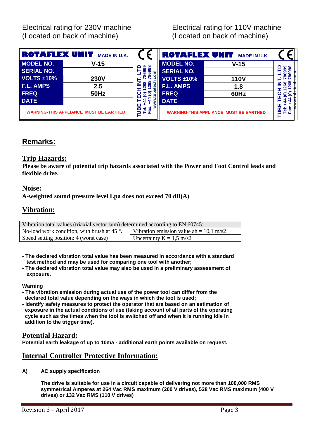Electrical rating for 230V machine Electrical rating for 110V machine (Located on back of machine) (Located on back of machine)

| ROTAFLEX UNIT<br><b>MADE IN U.K.</b>          |             |                | ROTAFLEX UNIT                                 | <b>MADE IN U.K.</b> |                |
|-----------------------------------------------|-------------|----------------|-----------------------------------------------|---------------------|----------------|
| <b>MODEL NO.</b>                              | $V-15$      | ၈ ∞            | <b>MODEL NO.</b>                              | $V-15$              | တ ထ            |
| <b>SERIAL NO.</b>                             |             | ດາ<br>ஜ<br>ε   | <b>SERIAL NO.</b>                             |                     |                |
| <b>VOLTS ±10%</b>                             | <b>230V</b> |                | <b>VOLTS ±10%</b>                             | <b>110V</b>         |                |
| <b>F.L. AMPS</b>                              | 2.5         | ၛၙ             | <b>F.L. AMPS</b>                              | 1.8                 | ႙ၟ             |
| <b>FREQ</b>                                   | <b>50Hz</b> | <u>මෙ</u><br>읔 | <b>FREQ</b>                                   | 60Hz                | $\bullet$<br>ຣ |
| <b>DATE</b>                                   |             |                | <b>DATE</b>                                   |                     |                |
| <b>WARNING-THIS APPLIANCE MUST BE EARTHED</b> |             | Tei:<br>Fax:   | <b>WARNING-THIS APPLIANCE MUST BE EARTHED</b> |                     | ě<br>ō         |

## **Remarks:**

### **Trip Hazards:**

**Please be aware of potential trip hazards associated with the Power and Foot Control leads and flexible drive.**

### **Noise:**

**A-weighted sound pressure level Lpa does not exceed 70 dB(A)**.

## **Vibration:**

| Vibration total values (triaxial vector sum) determined according to EN 60745: |                                                   |  |  |
|--------------------------------------------------------------------------------|---------------------------------------------------|--|--|
| No-load work condition, with brush at 45 $\degree$ .                           | Vibration emission value ah = $10.1 \text{ m/s2}$ |  |  |
| Speed setting position: 4 (worst case)                                         | Uncertainty $K = 1.5$ m/s2                        |  |  |

- **- The declared vibration total value has been measured in accordance with a standard test method and may be used for comparing one tool with another;**
- **- The declared vibration total value may also be used in a preliminary assessment of exposure.**

**Warning**

- **- The vibration emission during actual use of the power tool can differ from the declared total value depending on the ways in which the tool is used;**
- **- Identify safety measures to protect the operator that are based on an estimation of exposure in the actual conditions of use (taking account of all parts of the operating cycle such as the times when the tool is switched off and when it is running idle in addition to the trigger time).**

### **Potential Hazard:**

**Potential earth leakage of up to 10ma - additional earth points available on request.**

## **Internal Controller Protective Information:**

**A) AC supply specification**

**The drive is suitable for use in a circuit capable of delivering not more than 100,000 RMS symmetrical Amperes at 264 Vac RMS maximum (200 V drives), 528 Vac RMS maximum (400 V drives) or 132 Vac RMS (110 V drives)**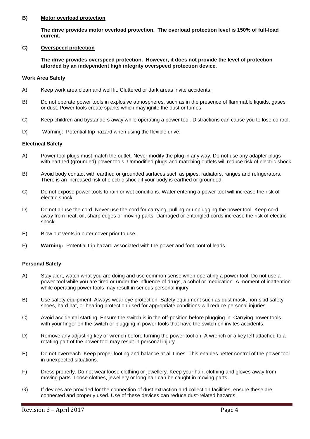#### **B) Motor overload protection**

**The drive provides motor overload protection. The overload protection level is 150% of full-load current.**

#### **C) Overspeed protection**

**The drive provides overspeed protection. However, it does not provide the level of protection afforded by an independent high integrity overspeed protection device.**

#### **Work Area Safety**

- A) Keep work area clean and well lit. Cluttered or dark areas invite accidents.
- B) Do not operate power tools in explosive atmospheres, such as in the presence of flammable liquids, gases or dust. Power tools create sparks which may ignite the dust or fumes.
- C) Keep children and bystanders away while operating a power tool. Distractions can cause you to lose control.
- D) Warning: Potential trip hazard when using the flexible drive.

#### **Electrical Safety**

- A) Power tool plugs must match the outlet. Never modify the plug in any way. Do not use any adapter plugs with earthed (grounded) power tools. Unmodified plugs and matching outlets will reduce risk of electric shock
- B) Avoid body contact with earthed or grounded surfaces such as pipes, radiators, ranges and refrigerators. There is an increased risk of electric shock if your body is earthed or grounded.
- C) Do not expose power tools to rain or wet conditions. Water entering a power tool will increase the risk of electric shock
- D) Do not abuse the cord. Never use the cord for carrying, pulling or unplugging the power tool. Keep cord away from heat, oil, sharp edges or moving parts. Damaged or entangled cords increase the risk of electric shock.
- E) Blow out vents in outer cover prior to use.
- F) **Warning:** Potential trip hazard associated with the power and foot control leads

#### **Personal Safety**

- A) Stay alert, watch what you are doing and use common sense when operating a power tool. Do not use a power tool while you are tired or under the influence of drugs, alcohol or medication. A moment of inattention while operating power tools may result in serious personal injury.
- B) Use safety equipment. Always wear eye protection. Safety equipment such as dust mask, non-skid safety shoes, hard hat, or hearing protection used for appropriate conditions will reduce personal injuries.
- C) Avoid accidental starting. Ensure the switch is in the off-position before plugging in. Carrying power tools with your finger on the switch or plugging in power tools that have the switch on invites accidents.
- D) Remove any adjusting key or wrench before turning the power tool on. A wrench or a key left attached to a rotating part of the power tool may result in personal injury.
- E) Do not overreach. Keep proper footing and balance at all times. This enables better control of the power tool in unexpected situations.
- F) Dress properly. Do not wear loose clothing or jewellery. Keep your hair, clothing and gloves away from moving parts. Loose clothes, jewellery or long hair can be caught in moving parts.
- G) If devices are provided for the connection of dust extraction and collection facilities, ensure these are connected and properly used. Use of these devices can reduce dust-related hazards.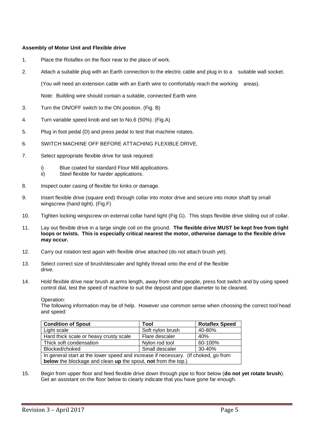#### **Assembly of Motor Unit and Flexible drive**

- 1. Place the Rotaflex on the floor near to the place of work.
- 2. Attach a suitable plug with an Earth connection to the electric cable and plug in to a suitable wall socket.

(You will need an extension cable with an Earth wire to comfortably reach the working areas).

Note: Building wire should contain a suitable, connected Earth wire.

- 3. Turn the ON/OFF switch to the ON position. (Fig. B)
- 4. Turn variable speed knob and set to No.6 (50%). (Fig.A)
- 5. Plug in foot pedal (D) and press pedal to test that machine rotates.
- 6. SWITCH MACHINE OFF BEFORE ATTACHING FLEXIBLE DRIVE.
- 7. Select appropriate flexible drive for task required:
	- i) Blue coated for standard Flour Mill applications.
	- ii) Steel flexible for harder applications.
- 8. Inspect outer casing of flexible for kinks or damage.
- 9. Insert flexible drive (square end) through collar into motor drive and secure into motor shaft by small wingscrew (hand tight). (Fig.F)
- 10. Tighten locking wingscrew on external collar hand tight (Fig G). This stops flexible drive sliding out of collar.
- 11. Lay out flexible drive in a large single coil on the ground. **The flexible drive MUST be kept free from tight loops or twists. This is especially critical nearest the motor, otherwise damage to the flexible drive may occur.**
- 12. Carry out rotation test again with flexible drive attached (do not attach brush yet).
- 13. Select correct size of brush/descaler and tightly thread onto the end of the flexible drive.
- 14. Hold flexible drive near brush at arms length, away from other people, press foot switch and by using speed control dial, test the speed of machine to suit the deposit and pipe diameter to be cleaned.

#### Operation:

The following information may be of help. However use common sense when choosing the correct tool head and speed:

| <b>Condition of Spout</b>                                                          | Tool             | <b>Rotaflex Speed</b> |
|------------------------------------------------------------------------------------|------------------|-----------------------|
| Light scale                                                                        | Soft nylon brush | 40-80%                |
| Hard thick scale or heavy crusty scale                                             | Flare descaler   | 40%                   |
| Thick soft condensation                                                            | Nylon rod tool   | 60-100%               |
| Blocked/choked                                                                     | Small descaler   | $30 - 40%$            |
| In general start at the lower speed and increase if necessary. (If choked, go from |                  |                       |
| <b>below</b> the blockage and clean up the spout, not from the top.)               |                  |                       |

15. Begin from upper floor and feed flexible drive down through pipe to floor below (**do not yet rotate brush**). Get an assistant on the floor below to clearly indicate that you have gone far enough.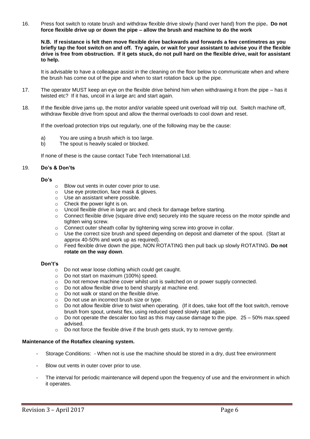16. Press foot switch to rotate brush and withdraw flexible drive slowly (hand over hand) from the pipe**. Do not force flexible drive up or down the pipe – allow the brush and machine to do the work**

**N.B. If resistance is felt then move flexible drive backwards and forwards a few centimetres as you briefly tap the foot switch on and off. Try again, or wait for your assistant to advise you if the flexible drive is free from obstruction. If it gets stuck, do not pull hard on the flexible drive, wait for assistant to help.**

It is advisable to have a colleague assist in the cleaning on the floor below to communicate when and where the brush has come out of the pipe and when to start rotation back up the pipe.

- 17. The operator MUST keep an eye on the flexible drive behind him when withdrawing it from the pipe has it twisted etc? If it has, uncoil in a large arc and start again.
- 18. If the flexible drive jams up, the motor and/or variable speed unit overload will trip out. Switch machine off, withdraw flexible drive from spout and allow the thermal overloads to cool down and reset.

If the overload protection trips out regularly, one of the following may be the cause:

- a) You are using a brush which is too large.
- b) The spout is heavily scaled or blocked.

If none of these is the cause contact Tube Tech International Ltd.

#### 19. **Do's & Don'ts**

#### **Do's**

- o Blow out vents in outer cover prior to use.
- o Use eye protection, face mask & gloves.
- o Use an assistant where possible.
- $\circ$  Check the power light is on.
- o Uncoil flexible drive in large arc and check for damage before starting.
- o Connect flexible drive (square drive end) securely into the square recess on the motor spindle and tighten wing screw.
- o Connect outer sheath collar by tightening wing screw into groove in collar.
- o Use the correct size brush and speed depending on deposit and diameter of the spout. (Start at approx 40-50% and work up as required).
- o Feed flexible drive down the pipe, NON ROTATING then pull back up slowly ROTATING. **Do not rotate on the way down**.

#### **Don't's**

- oDo not wear loose clothing which could get caught.
- o Do not start on maximum (100%) speed.
- $\circ$  Do not remove machine cover whilst unit is switched on or power supply connected.
- o Do not allow flexible drive to bend sharply at machine end.
- o Do not walk or stand on the flexible drive.
- o Do not use an incorrect brush size or type.
- $\circ$  Do not allow flexible drive to twist when operating. (If it does, take foot off the foot switch, remove brush from spout, untwist flex, using reduced speed slowly start again.
- $\circ$  Do not operate the descaler too fast as this may cause damage to the pipe. 25 50% max.speed advised.
- o Do not force the flexible drive if the brush gets stuck, try to remove gently.

#### **Maintenance of the Rotaflex cleaning system.**

- Storage Conditions: When not is use the machine should be stored in a dry, dust free environment
- Blow out vents in outer cover prior to use.
- The interval for periodic maintenance will depend upon the frequency of use and the environment in which it operates.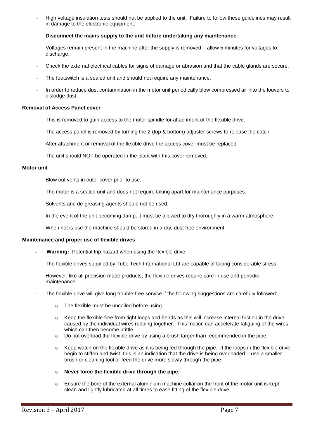- High voltage insulation tests should not be applied to the unit. Failure to follow these guidelines may result in damage to the electronic equipment.
- **Disconnect the mains supply to the unit before undertaking any maintenance.**
- Voltages remain present in the machine after the supply is removed allow 5 minutes for voltages to discharge.
- Check the external electrical cables for signs of damage or abrasion and that the cable glands are secure.
- The footswitch is a sealed unit and should not require any maintenance.
- In order to reduce dust contamination in the motor unit periodically blow compressed air into the louvers to dislodge dust.

#### **Removal of Access Panel cover**

- This is removed to gain access to the motor spindle for attachment of the flexible drive.
- The access panel is removed by turning the 2 (top & bottom) adjuster screws to release the catch.
- After attachment or removal of the flexible drive the access cover must be replaced.
- The unit should NOT be operated in the plant with this cover removed.

#### **Motor unit**

- Blow out vents in outer cover prior to use.
- The motor is a sealed unit and does not require taking apart for maintenance purposes.
- Solvents and de-greasing agents should not be used.
- In the event of the unit becoming damp, it must be allowed to dry thoroughly in a warm atmosphere.
- When not is use the machine should be stored in a dry, dust free environment.

#### **Maintenance and proper use of flexible drives**

- **Warning:** Potential trip hazard when using the flexible drive.
- The flexible drives supplied by Tube Tech International Ltd are capable of taking considerable stress.
- However, like all precision made products, the flexible drives require care in use and periodic maintenance.
- The flexible drive will give long trouble-free service if the following suggestions are carefully followed:
	- o The flexible must be uncoiled before using.
	- $\circ$  Keep the flexible free from tight loops and bends as this will increase internal friction in the drive caused by the individual wires rubbing together. This friction can accelerate fatiguing of the wires which can then become brittle.
	- $\circ$  Do not overload the flexible drive by using a brush larger than recommended in the pipe.
	- $\circ$  Keep watch on the flexible drive as it is being fed through the pipe. If the loops in the flexible drive begin to stiffen and twist, this is an indication that the drive is being overloaded – use a smaller brush or cleaning tool or feed the drive more slowly through the pipe.
	- o **Never force the flexible drive through the pipe.**
	- $\circ$  Ensure the bore of the external aluminium machine collar on the front of the motor unit is kept clean and lightly lubricated at all times to ease fitting of the flexible drive.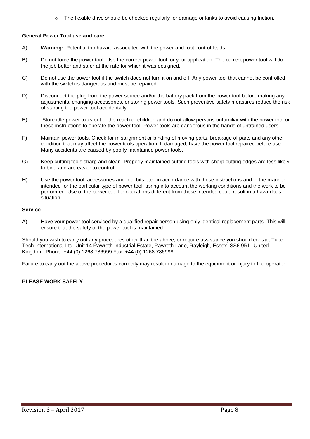$\circ$  The flexible drive should be checked regularly for damage or kinks to avoid causing friction.

#### **General Power Tool use and care:**

- A) **Warning:** Potential trip hazard associated with the power and foot control leads
- B) Do not force the power tool. Use the correct power tool for your application. The correct power tool will do the job better and safer at the rate for which it was designed.
- C) Do not use the power tool if the switch does not turn it on and off. Any power tool that cannot be controlled with the switch is dangerous and must be repaired.
- D) Disconnect the plug from the power source and/or the battery pack from the power tool before making any adjustments, changing accessories, or storing power tools. Such preventive safety measures reduce the risk of starting the power tool accidentally.
- E) Store idle power tools out of the reach of children and do not allow persons unfamiliar with the power tool or these instructions to operate the power tool. Power tools are dangerous in the hands of untrained users.
- F) Maintain power tools. Check for misalignment or binding of moving parts, breakage of parts and any other condition that may affect the power tools operation. If damaged, have the power tool repaired before use. Many accidents are caused by poorly maintained power tools.
- G) Keep cutting tools sharp and clean. Properly maintained cutting tools with sharp cutting edges are less likely to bind and are easier to control.
- H) Use the power tool, accessories and tool bits etc., in accordance with these instructions and in the manner intended for the particular type of power tool, taking into account the working conditions and the work to be performed. Use of the power tool for operations different from those intended could result in a hazardous situation.

#### **Service**

A) Have your power tool serviced by a qualified repair person using only identical replacement parts. This will ensure that the safety of the power tool is maintained.

Should you wish to carry out any procedures other than the above, or require assistance you should contact Tube Tech International Ltd. Unit 14 Rawreth Industrial Estate, Rawreth Lane, Rayleigh, Essex. SS6 9RL. United Kingdom. Phone: +44 (0) 1268 786999 Fax: +44 (0) 1268 786998

Failure to carry out the above procedures correctly may result in damage to the equipment or injury to the operator.

#### **PLEASE WORK SAFELY**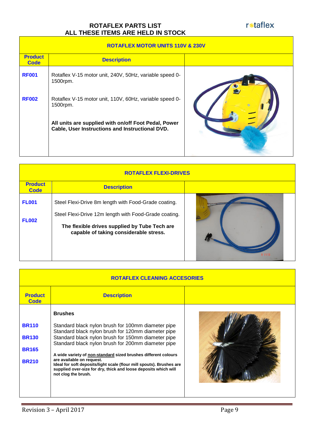### **ROTAFLEX PARTS LIST ALL THESE ITEMS ARE HELD IN STOCK**

r<sub>\*taflex</sub>

|  |  | <b>ROTAFLEX MOTOR UNITS 110V &amp; 230V</b> |
|--|--|---------------------------------------------|
|--|--|---------------------------------------------|

| <b>Product</b><br><b>Code</b> | <b>Description</b>                                                                                      |  |  |
|-------------------------------|---------------------------------------------------------------------------------------------------------|--|--|
| <b>RF001</b>                  | Rotaflex V-15 motor unit, 240V, 50Hz, variable speed 0-<br>1500rpm.                                     |  |  |
| <b>RF002</b>                  | Rotaflex V-15 motor unit, 110V, 60Hz, variable speed 0-<br>1500rpm.                                     |  |  |
|                               | All units are supplied with on/off Foot Pedal, Power<br>Cable, User Instructions and Instructional DVD. |  |  |
|                               |                                                                                                         |  |  |

| <b>ROTAFLEX FLEXI-DRIVES</b>  |                                                                                                                                                                                                          |  |
|-------------------------------|----------------------------------------------------------------------------------------------------------------------------------------------------------------------------------------------------------|--|
| <b>Product</b><br><b>Code</b> | <b>Description</b>                                                                                                                                                                                       |  |
| <b>FL001</b><br><b>FL002</b>  | Steel Flexi-Drive 8m length with Food-Grade coating.<br>Steel Flexi-Drive 12m length with Food-Grade coating.<br>The flexible drives supplied by Tube Tech are<br>capable of taking considerable stress. |  |

| <b>ROTAFLEX CLEANING ACCESORIES</b>                          |                                                                                                                                                                                                                                                                                                                                                                                                                                                                                                         |  |  |
|--------------------------------------------------------------|---------------------------------------------------------------------------------------------------------------------------------------------------------------------------------------------------------------------------------------------------------------------------------------------------------------------------------------------------------------------------------------------------------------------------------------------------------------------------------------------------------|--|--|
| <b>Product</b><br><b>Code</b>                                | <b>Description</b>                                                                                                                                                                                                                                                                                                                                                                                                                                                                                      |  |  |
| <b>BR110</b><br><b>BR130</b><br><b>BR165</b><br><b>BR210</b> | <b>Brushes</b><br>Standard black nylon brush for 100mm diameter pipe<br>Standard black nylon brush for 120mm diameter pipe<br>Standard black nylon brush for 150mm diameter pipe<br>Standard black nylon brush for 200mm diameter pipe<br>A wide variety of non-standard sized brushes different colours<br>are available on request.<br>Ideal for soft deposits/light scale (flour mill spouts). Brushes are<br>supplied over-size for dry, thick and loose deposits which will<br>not clog the brush. |  |  |